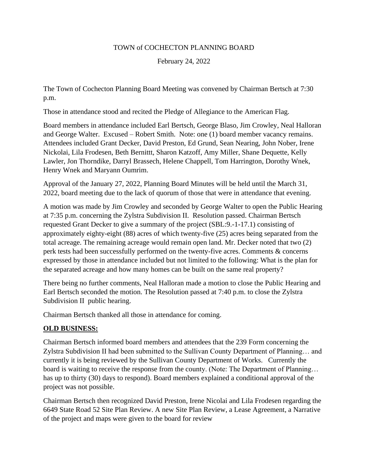## TOWN of COCHECTON PLANNING BOARD

February 24, 2022

The Town of Cochecton Planning Board Meeting was convened by Chairman Bertsch at 7:30 p.m.

Those in attendance stood and recited the Pledge of Allegiance to the American Flag.

Board members in attendance included Earl Bertsch, George Blaso, Jim Crowley, Neal Halloran and George Walter. Excused – Robert Smith. Note: one (1) board member vacancy remains. Attendees included Grant Decker, David Preston, Ed Grund, Sean Nearing, John Nober, Irene Nickolai, Lila Frodesen, Beth Bernittt, Sharon Katzoff, Amy Miller, Shane Dequette, Kelly Lawler, Jon Thorndike, Darryl Brassech, Helene Chappell, Tom Harrington, Dorothy Wnek, Henry Wnek and Maryann Oumrim.

Approval of the January 27, 2022, Planning Board Minutes will be held until the March 31, 2022, board meeting due to the lack of quorum of those that were in attendance that evening.

A motion was made by Jim Crowley and seconded by George Walter to open the Public Hearing at 7:35 p.m. concerning the Zylstra Subdivision II. Resolution passed. Chairman Bertsch requested Grant Decker to give a summary of the project (SBL:9.-1-17.1) consisting of approximately eighty-eight (88) acres of which twenty-five (25) acres being separated from the total acreage. The remaining acreage would remain open land. Mr. Decker noted that two (2) perk tests had been successfully performed on the twenty-five acres. Comments & concerns expressed by those in attendance included but not limited to the following: What is the plan for the separated acreage and how many homes can be built on the same real property?

There being no further comments, Neal Halloran made a motion to close the Public Hearing and Earl Bertsch seconded the motion. The Resolution passed at 7:40 p.m. to close the Zylstra Subdivision II public hearing.

Chairman Bertsch thanked all those in attendance for coming.

## **OLD BUSINESS:**

Chairman Bertsch informed board members and attendees that the 239 Form concerning the Zylstra Subdivision II had been submitted to the Sullivan County Department of Planning… and currently it is being reviewed by the Sullivan County Department of Works. Currently the board is waiting to receive the response from the county. (Note: The Department of Planning… has up to thirty (30) days to respond). Board members explained a conditional approval of the project was not possible.

Chairman Bertsch then recognized David Preston, Irene Nicolai and Lila Frodesen regarding the 6649 State Road 52 Site Plan Review. A new Site Plan Review, a Lease Agreement, a Narrative of the project and maps were given to the board for review